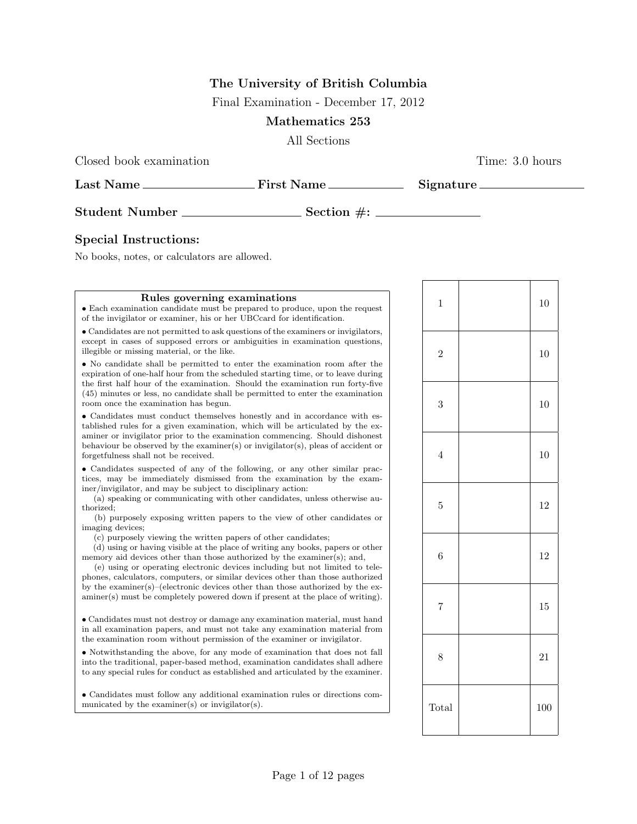# The University of British Columbia

Final Examination - December 17, 2012

# Mathematics 253

All Sections

Closed book examination Time: 3.0 hours

| Last Name             | <b>First Name</b> | <b>Signature</b> |
|-----------------------|-------------------|------------------|
| <b>Student Number</b> | Section $\#$ :    |                  |

## Special Instructions:

No books, notes, or calculators are allowed.

#### Rules governing examinations

• Each examination candidate must be prepared to produce, upon the request of the invigilator or examiner, his or her UBCcard for identification.

• Candidates are not permitted to ask questions of the examiners or invigilators, except in cases of supposed errors or ambiguities in examination questions, illegible or missing material, or the like.

• No candidate shall be permitted to enter the examination room after the expiration of one-half hour from the scheduled starting time, or to leave during the first half hour of the examination. Should the examination run forty-five (45) minutes or less, no candidate shall be permitted to enter the examination room once the examination has begun.

• Candidates must conduct themselves honestly and in accordance with established rules for a given examination, which will be articulated by the examiner or invigilator prior to the examination commencing. Should dishonest behaviour be observed by the examiner(s) or invigilator(s), pleas of accident or forgetfulness shall not be received.

• Candidates suspected of any of the following, or any other similar practices, may be immediately dismissed from the examination by the examiner/invigilator, and may be subject to disciplinary action:

(a) speaking or communicating with other candidates, unless otherwise authorized;

(b) purposely exposing written papers to the view of other candidates or imaging devices;

(c) purposely viewing the written papers of other candidates;

(d) using or having visible at the place of writing any books, papers or other memory aid devices other than those authorized by the examiner(s); and,

(e) using or operating electronic devices including but not limited to telephones, calculators, computers, or similar devices other than those authorized by the examiner(s)–(electronic devices other than those authorized by the examiner(s) must be completely powered down if present at the place of writing).

• Candidates must not destroy or damage any examination material, must hand in all examination papers, and must not take any examination material from the examination room without permission of the examiner or invigilator.

• Notwithstanding the above, for any mode of examination that does not fall into the traditional, paper-based method, examination candidates shall adhere to any special rules for conduct as established and articulated by the examiner.

• Candidates must follow any additional examination rules or directions communicated by the examiner(s) or invigilator(s).

| $\mathbf{1}$   | 10     |
|----------------|--------|
| $\overline{2}$ | 10     |
| 3              | 10     |
| $\overline{4}$ | 10     |
| $\overline{5}$ | 12     |
| $\overline{6}$ | 12     |
| $\overline{7}$ | $15\,$ |
| 8              | 21     |
| Total          | 100    |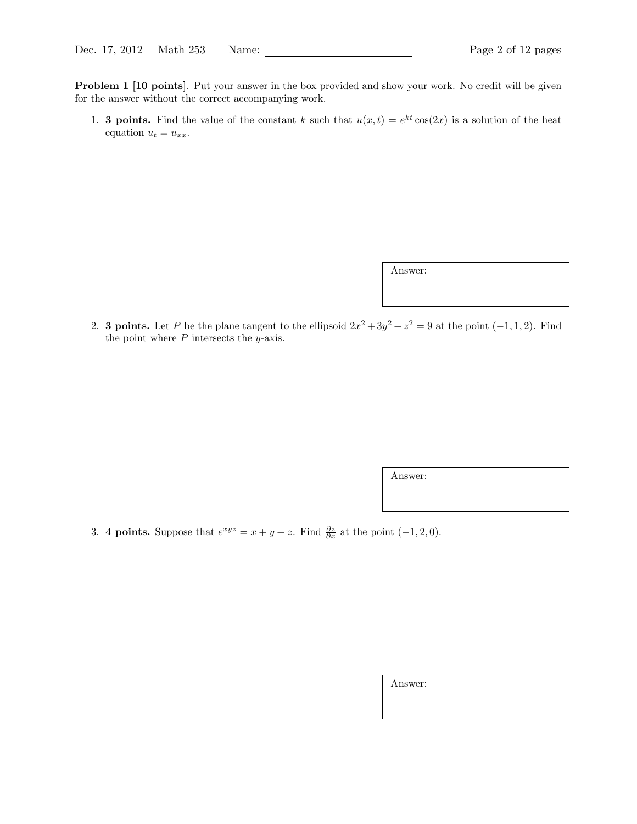Problem 1 [10 points]. Put your answer in the box provided and show your work. No credit will be given for the answer without the correct accompanying work.

1. **3 points.** Find the value of the constant k such that  $u(x,t) = e^{kt} \cos(2x)$  is a solution of the heat equation  $u_t = u_{xx}$ .

Answer:

2. **3 points.** Let P be the plane tangent to the ellipsoid  $2x^2 + 3y^2 + z^2 = 9$  at the point  $(-1, 1, 2)$ . Find the point where  $P$  intersects the  $y$ -axis.

Answer:

3. 4 points. Suppose that  $e^{xyz} = x + y + z$ . Find  $\frac{\partial z}{\partial x}$  at the point  $(-1, 2, 0)$ .

Answer: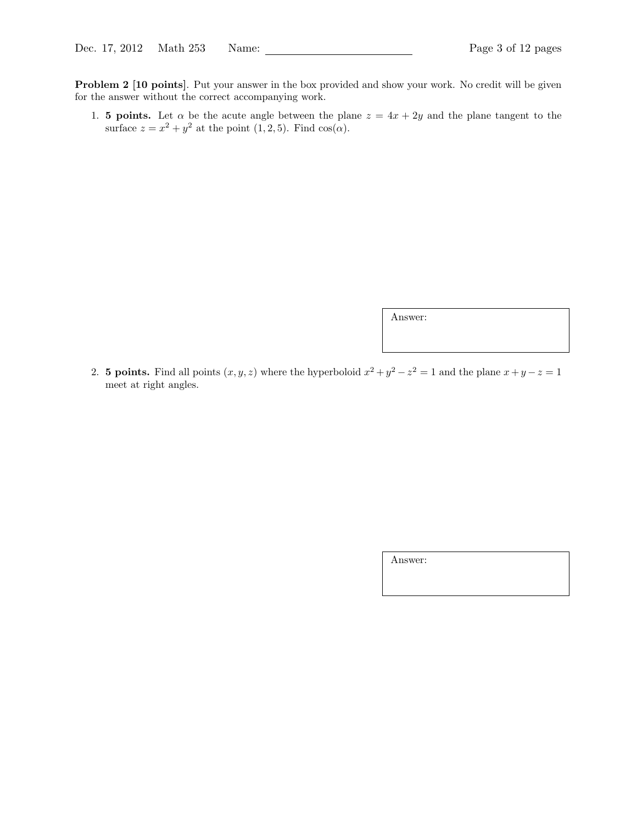Problem 2 [10 points]. Put your answer in the box provided and show your work. No credit will be given for the answer without the correct accompanying work.

1. 5 points. Let  $\alpha$  be the acute angle between the plane  $z = 4x + 2y$  and the plane tangent to the surface  $z = x^2 + y^2$  at the point  $(1, 2, 5)$ . Find  $cos(\alpha)$ .

Answer:

2. **5 points.** Find all points  $(x, y, z)$  where the hyperboloid  $x^2 + y^2 - z^2 = 1$  and the plane  $x + y - z = 1$ meet at right angles.

Answer: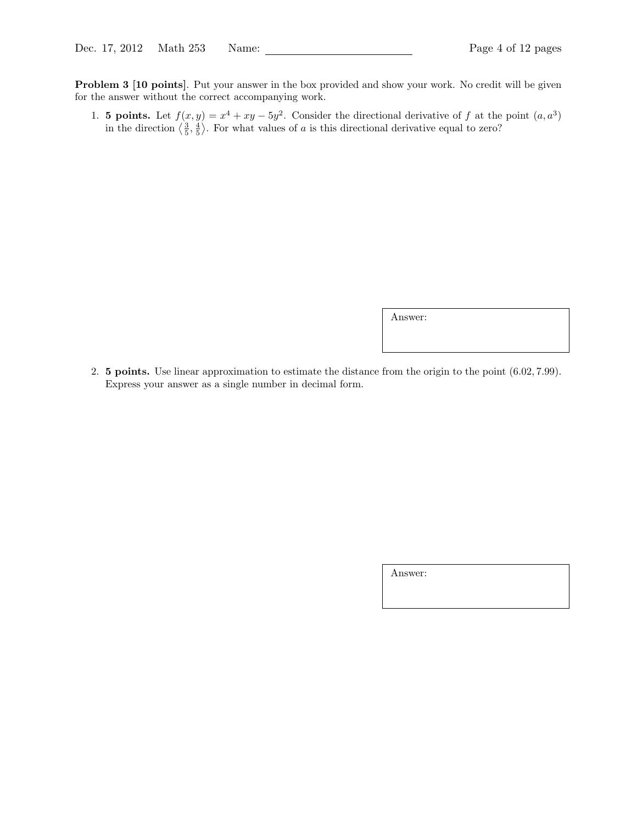Problem 3 [10 points]. Put your answer in the box provided and show your work. No credit will be given for the answer without the correct accompanying work.

1. **5 points.** Let  $f(x, y) = x^4 + xy - 5y^2$ . Consider the directional derivative of f at the point  $(a, a^3)$ in the direction  $\langle \frac{3}{5}, \frac{4}{5} \rangle$ . For what values of a is this directional derivative equal to zero?

Answer:

2. 5 points. Use linear approximation to estimate the distance from the origin to the point (6.02, 7.99). Express your answer as a single number in decimal form.

Answer: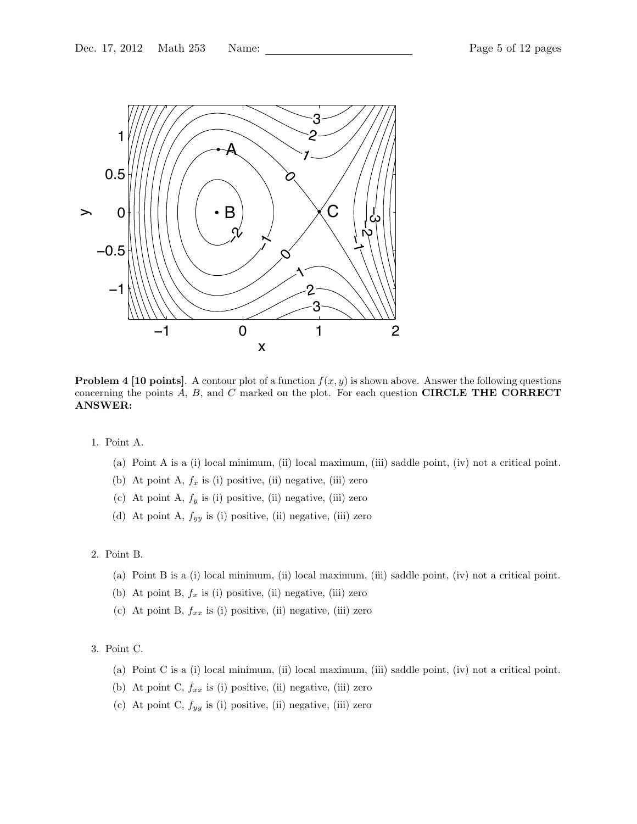

**Problem 4 [10 points].** A contour plot of a function  $f(x, y)$  is shown above. Answer the following questions concerning the points  $A, B$ , and  $C$  marked on the plot. For each question **CIRCLE THE CORRECT** ANSWER:

- 1. Point A.
	- (a) Point A is a (i) local minimum, (ii) local maximum, (iii) saddle point, (iv) not a critical point.
	- (b) At point A,  $f_x$  is (i) positive, (ii) negative, (iii) zero
	- (c) At point A,  $f_y$  is (i) positive, (ii) negative, (iii) zero
	- (d) At point A,  $f_{yy}$  is (i) positive, (ii) negative, (iii) zero

### 2. Point B.

- (a) Point B is a (i) local minimum, (ii) local maximum, (iii) saddle point, (iv) not a critical point.
- (b) At point B,  $f_x$  is (i) positive, (ii) negative, (iii) zero
- (c) At point B,  $f_{xx}$  is (i) positive, (ii) negative, (iii) zero

#### 3. Point C.

- (a) Point C is a (i) local minimum, (ii) local maximum, (iii) saddle point, (iv) not a critical point.
- (b) At point C,  $f_{xx}$  is (i) positive, (ii) negative, (iii) zero
- (c) At point C,  $f_{yy}$  is (i) positive, (ii) negative, (iii) zero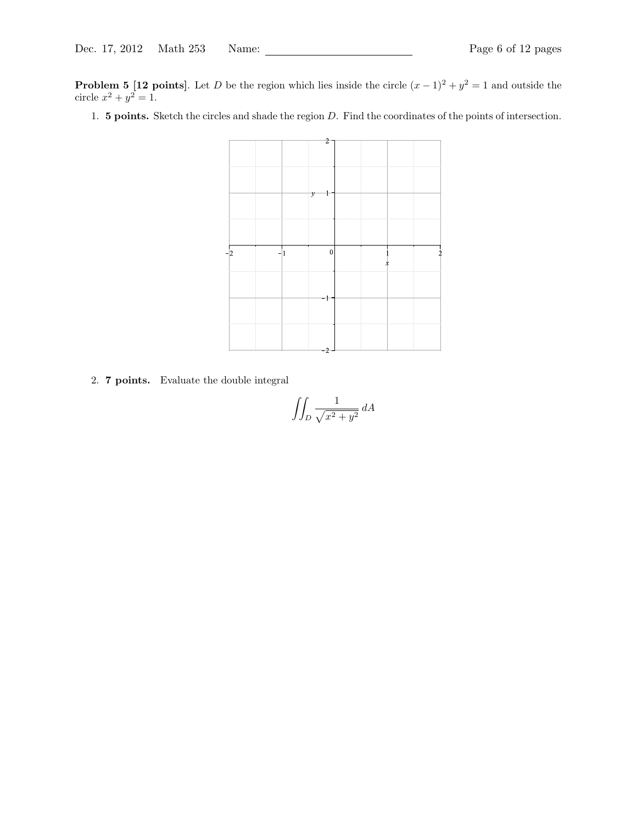**Problem 5 [12 points]**. Let D be the region which lies inside the circle  $(x-1)^2 + y^2 = 1$  and outside the circle  $x^2 + y^2 = 1$ .

1. 5 points. Sketch the circles and shade the region D. Find the coordinates of the points of intersection.



2. 7 points. Evaluate the double integral

$$
\iint_D \frac{1}{\sqrt{x^2 + y^2}} dA
$$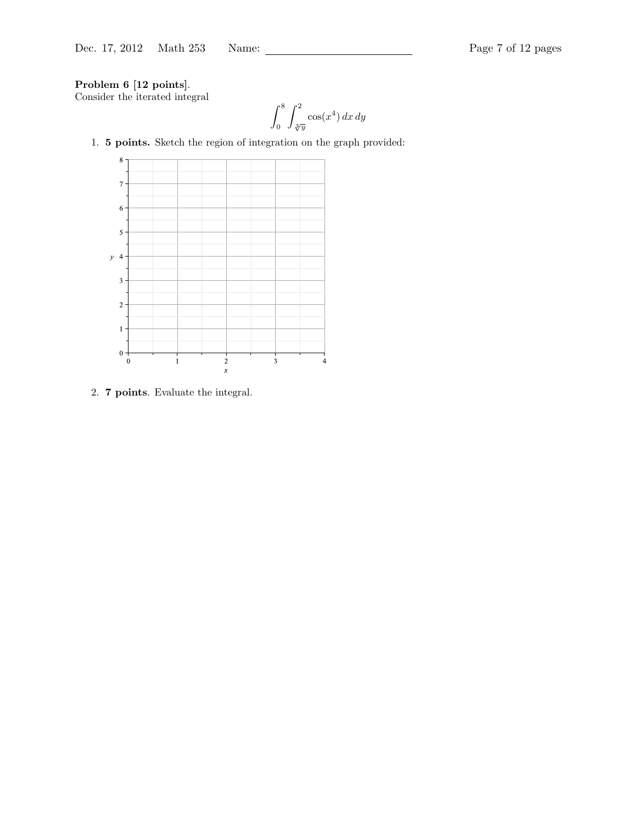# Problem 6 [12 points].

Consider the iterated integral

$$
\int_0^8 \int_{\sqrt[3]{y}}^2 \cos(x^4) \, dx \, dy
$$

1. 5 points. Sketch the region of integration on the graph provided:



2. 7 points. Evaluate the integral.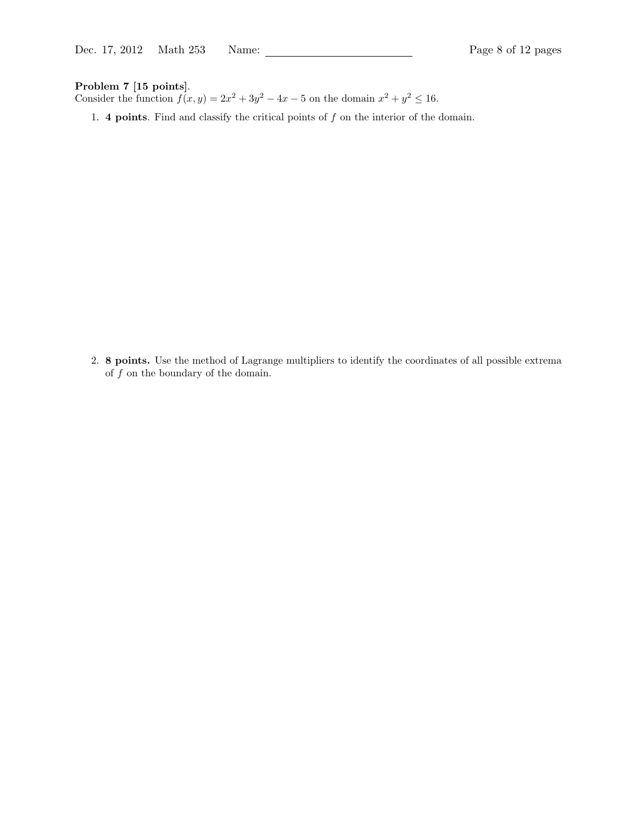### Problem 7 [15 points].

Consider the function  $f(x, y) = 2x^2 + 3y^2 - 4x - 5$  on the domain  $x^2 + y^2 \le 16$ .

1. 4 points. Find and classify the critical points of  $f$  on the interior of the domain.

2. 8 points. Use the method of Lagrange multipliers to identify the coordinates of all possible extrema of f on the boundary of the domain.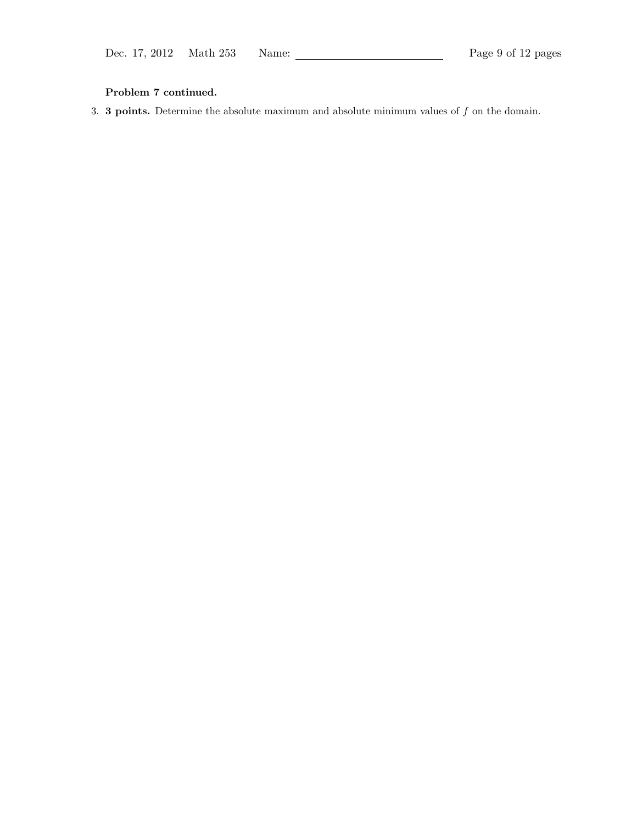# Problem 7 continued.

3. **3 points.** Determine the absolute maximum and absolute minimum values of  $f$  on the domain.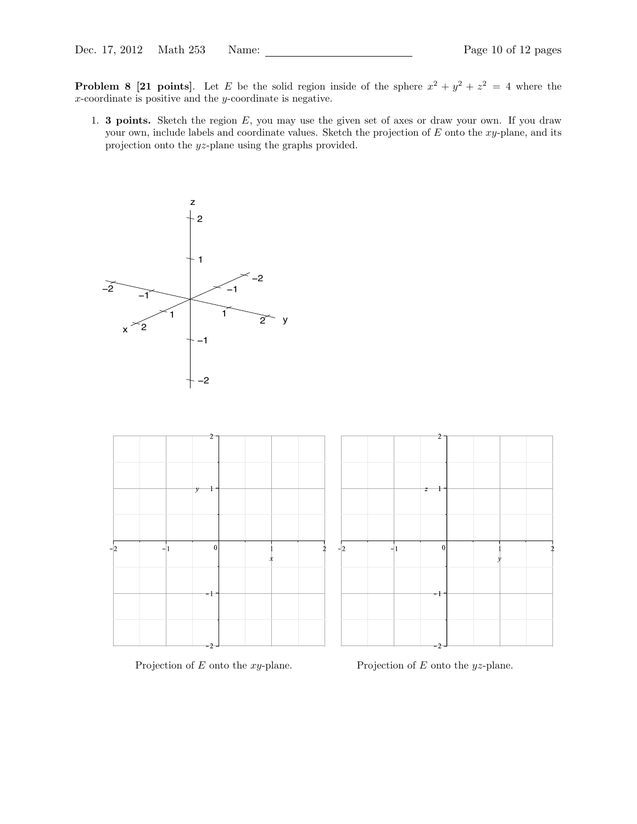**Problem 8 [21 points]**. Let E be the solid region inside of the sphere  $x^2 + y^2 + z^2 = 4$  where the x-coordinate is positive and the y-coordinate is negative.

1. **3 points.** Sketch the region  $E$ , you may use the given set of axes or draw your own. If you draw your own, include labels and coordinate values. Sketch the projection of  $E$  onto the  $xy$ -plane, and its projection onto the yz-plane using the graphs provided.





Projection of  $E$  onto the  $xy$ -plane. Projection of  $E$  onto the  $yz$ -plane.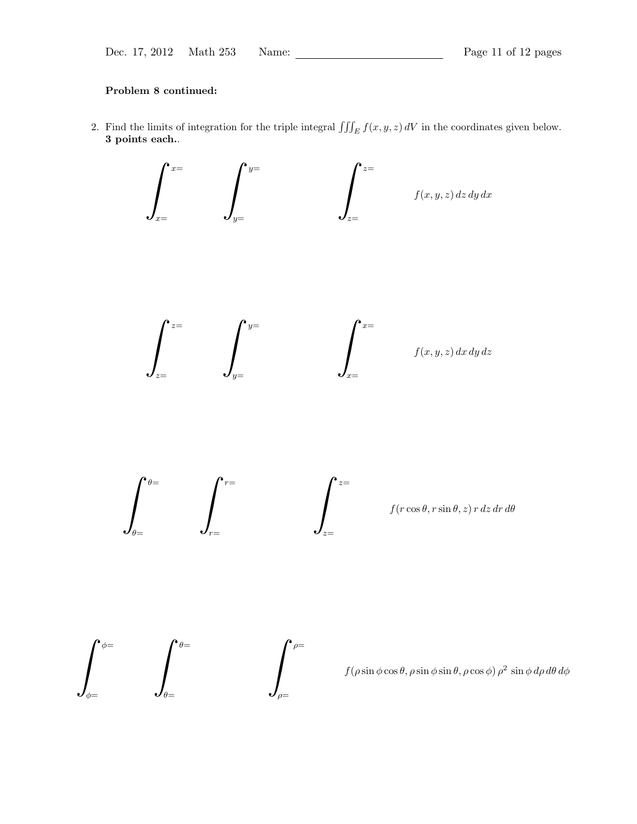### Problem 8 continued:

2. Find the limits of integration for the triple integral  $\iiint_E f(x, y, z) dV$  in the coordinates given below. 3 points each..